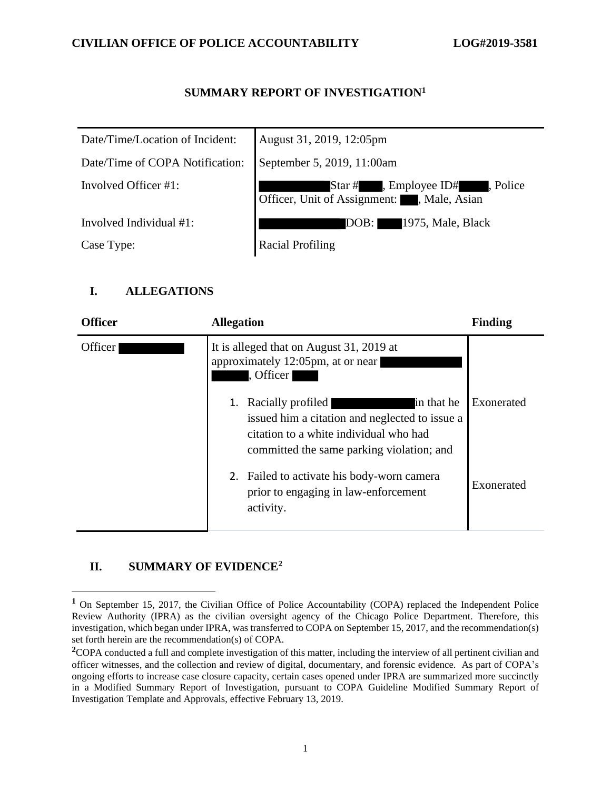## **SUMMARY REPORT OF INVESTIGATION<sup>1</sup>**

| Date/Time/Location of Incident: | August 31, 2019, 12:05pm                                                         |  |
|---------------------------------|----------------------------------------------------------------------------------|--|
| Date/Time of COPA Notification: | September 5, 2019, 11:00am                                                       |  |
| Involved Officer #1:            | Star # , Employee ID =<br>Officer, Unit of Assignment: , Male, Asian<br>, Police |  |
| Involved Individual #1:         | DOB: 1975, Male, Black                                                           |  |
| Case Type:                      | <b>Racial Profiling</b>                                                          |  |

## **I. ALLEGATIONS**

| <b>Officer</b> | <b>Allegation</b>                                                                                                                                                                                                                                                                | <b>Finding</b> |
|----------------|----------------------------------------------------------------------------------------------------------------------------------------------------------------------------------------------------------------------------------------------------------------------------------|----------------|
| Officer        | It is alleged that on August 31, 2019 at<br>approximately 12:05pm, at or near<br>$\sqrt{$ Officer<br>in that he<br>1. Racially profiled<br>issued him a citation and neglected to issue a<br>citation to a white individual who had<br>committed the same parking violation; and | Exonerated     |
|                | 2. Failed to activate his body-worn camera<br>prior to engaging in law-enforcement<br>activity.                                                                                                                                                                                  | Exonerated     |

## **II. SUMMARY OF EVIDENCE<sup>2</sup>**

**<sup>1</sup>** On September 15, 2017, the Civilian Office of Police Accountability (COPA) replaced the Independent Police Review Authority (IPRA) as the civilian oversight agency of the Chicago Police Department. Therefore, this investigation, which began under IPRA, was transferred to COPA on September 15, 2017, and the recommendation(s) set forth herein are the recommendation(s) of COPA.

<sup>&</sup>lt;sup>2</sup>COPA conducted a full and complete investigation of this matter, including the interview of all pertinent civilian and officer witnesses, and the collection and review of digital, documentary, and forensic evidence. As part of COPA's ongoing efforts to increase case closure capacity, certain cases opened under IPRA are summarized more succinctly in a Modified Summary Report of Investigation, pursuant to COPA Guideline Modified Summary Report of Investigation Template and Approvals, effective February 13, 2019.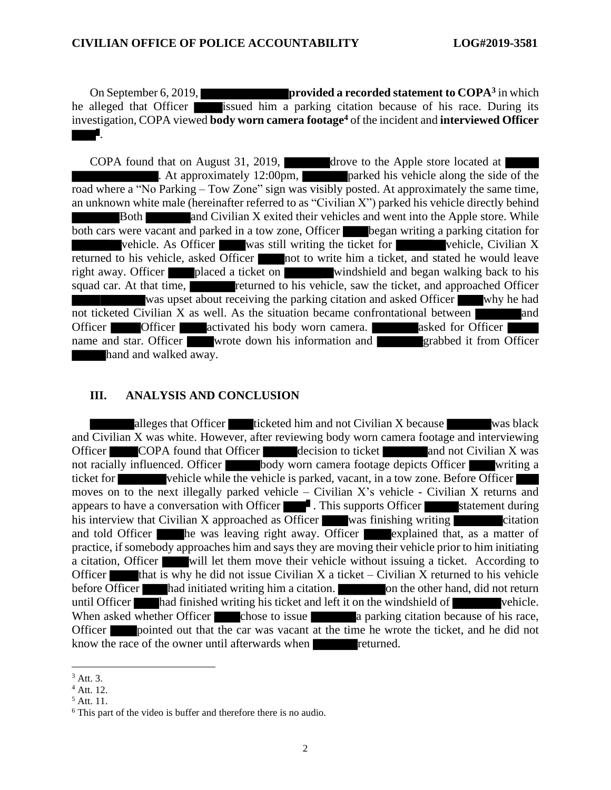On September 6, 2019, **provided a recorded statement to COPA<sup>3</sup>** in which he alleged that Officer issued him a parking citation because of his race. During its investigation, COPA viewed **body worn camera footage<sup>4</sup>** of the incident and **interviewed Officer** .

COPA found that on August 31, 2019, drove to the Apple store located at . At approximately 12:00pm, parked his vehicle along the side of the road where a "No Parking – Tow Zone" sign was visibly posted. At approximately the same time, an unknown white male (hereinafter referred to as "Civilian X") parked his vehicle directly behind Both and Civilian X exited their vehicles and went into the Apple store. While both cars were vacant and parked in a tow zone, Officer began writing a parking citation for vehicle. As Officer was still writing the ticket for vehicle, Civilian X returned to his vehicle, asked Officer not to write him a ticket, and stated he would leave right away. Officer placed a ticket on windshield and began walking back to his squad car. At that time, returned to his vehicle, saw the ticket, and approached Officer was upset about receiving the parking citation and asked Officer why he had not ticketed Civilian X as well. As the situation became confrontational between Officer **Officer** activated his body worn camera. The asked for Officer name and star. Officer wrote down his information and grabbed it from Officer hand and walked away.

#### **III. ANALYSIS AND CONCLUSION**

alleges that Officer ticketed him and not Civilian X because was black and Civilian X was white. However, after reviewing body worn camera footage and interviewing Officer COPA found that Officer decision to ticket and not Civilian X was not racially influenced. Officer body worn camera footage depicts Officer writing a ticket for vehicle while the vehicle is parked, vacant, in a tow zone. Before Officer moves on to the next illegally parked vehicle – Civilian X's vehicle - Civilian X returns and appears to have a conversation with Officer  $\blacksquare$ . This supports Officer statement during his interview that Civilian X approached as Officer was finishing writing citation and told Officer **he** was leaving right away. Officer explained that, as a matter of practice, if somebody approaches him and says they are moving their vehicle prior to him initiating a citation, Officer will let them move their vehicle without issuing a ticket. According to Officer that is why he did not issue Civilian X a ticket – Civilian X returned to his vehicle before Officer had initiated writing him a citation. The other hand, did not return until Officer had finished writing his ticket and left it on the windshield of vehicle. When asked whether Officer chose to issue  $\blacksquare$  a parking citation because of his race, Officer pointed out that the car was vacant at the time he wrote the ticket, and he did not know the race of the owner until afterwards when returned.

 $3$  Att. 3.

<sup>4</sup> Att. 12.

<sup>5</sup> Att. 11.

<sup>6</sup> This part of the video is buffer and therefore there is no audio.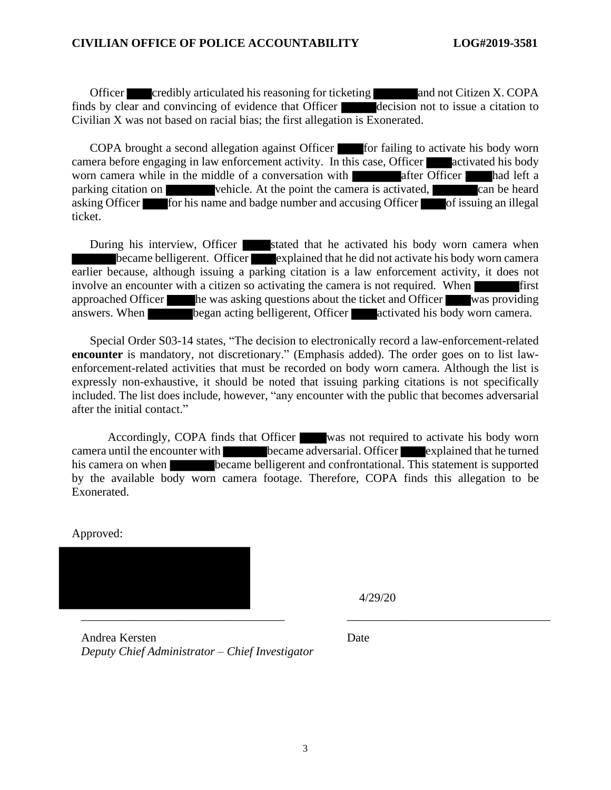Officer credibly articulated his reasoning for ticketing and not Citizen X. COPA finds by clear and convincing of evidence that Officer decision not to issue a citation to Civilian X was not based on racial bias; the first allegation is Exonerated.

COPA brought a second allegation against Officer for failing to activate his body worn camera before engaging in law enforcement activity. In this case, Officer activated his body worn camera while in the middle of a conversation with **a structure after Officer** had left a parking citation on  $\blacksquare$  vehicle. At the point the camera is activated,  $\blacksquare$  can be heard asking Officer for his name and badge number and accusing Officer of issuing an illegal ticket.

During his interview, Officer stated that he activated his body worn camera when became belligerent. Officer explained that he did not activate his body worn camera earlier because, although issuing a parking citation is a law enforcement activity, it does not involve an encounter with a citizen so activating the camera is not required. When first approached Officer he was asking questions about the ticket and Officer was providing answers. When **began acting belligerent**, Officer activated his body worn camera.

Special Order S03-14 states, "The decision to electronically record a law-enforcement-related **encounter** is mandatory, not discretionary." (Emphasis added). The order goes on to list lawenforcement-related activities that must be recorded on body worn camera. Although the list is expressly non-exhaustive, it should be noted that issuing parking citations is not specifically included. The list does include, however, "any encounter with the public that becomes adversarial after the initial contact."

Accordingly, COPA finds that Officer was not required to activate his body worn camera until the encounter with **became** adversarial. Officer explained that he turned his camera on when **became belligerent and confrontational**. This statement is supported by the available body worn camera footage. Therefore, COPA finds this allegation to be Exonerated.

Approved:



4/29/20

Andrea Kersten *Deputy Chief Administrator – Chief Investigator*

Date